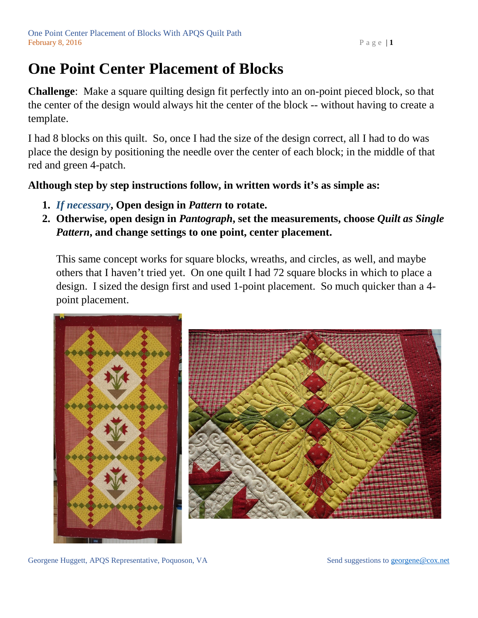## **One Point Center Placement of Blocks**

**Challenge**: Make a square quilting design fit perfectly into an on-point pieced block, so that the center of the design would always hit the center of the block -- without having to create a template.

I had 8 blocks on this quilt. So, once I had the size of the design correct, all I had to do was place the design by positioning the needle over the center of each block; in the middle of that red and green 4-patch.

**Although step by step instructions follow, in written words it's as simple as:** 

- **1.** *If necessary***, Open design in** *Pattern* **to rotate.**
- **2. Otherwise, open design in** *Pantograph***, set the measurements, choose** *Quilt as Single Pattern***, and change settings to one point, center placement.**

This same concept works for square blocks, wreaths, and circles, as well, and maybe others that I haven't tried yet. On one quilt I had 72 square blocks in which to place a design. I sized the design first and used 1-point placement. So much quicker than a 4 point placement.





Georgene Huggett, APQS Representative, Poquoson, VA Send suggestions to [georgene@cox.net](mailto:georgene@cox.net)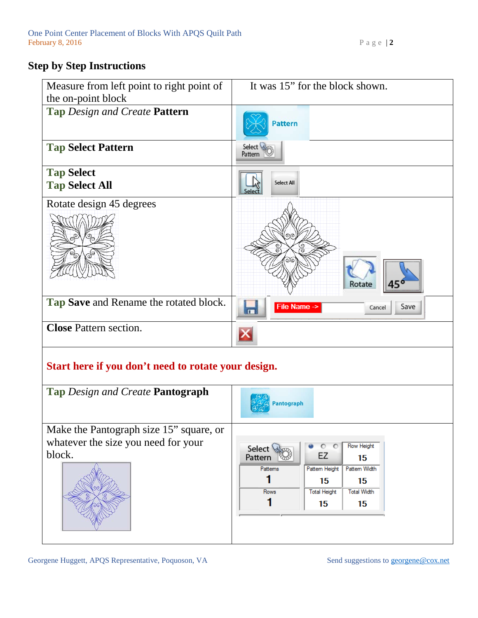## **Step by Step Instructions**

| Measure from left point to right point of                                      | It was 15" for the block shown.                  |
|--------------------------------------------------------------------------------|--------------------------------------------------|
| the on-point block<br>Tap Design and Create Pattern                            | <b>Pattern</b>                                   |
| <b>Tap Select Pattern</b>                                                      | Select<br>Pattern                                |
| <b>Tap Select</b><br><b>Tap Select All</b>                                     | Select All                                       |
| Rotate design 45 degrees                                                       | O(Q)<br>Rotate<br>45'                            |
| Tap Save and Rename the rotated block.                                         | File Name -><br>Save<br>Cancel<br>$\blacksquare$ |
| <b>Close Pattern section.</b>                                                  | X                                                |
| Start here if you don't need to rotate your design.                            |                                                  |
| <b>Tap Design and Create Pantograph</b>                                        | Pantograph                                       |
| Make the Pantograph size 15" square, or<br>whatever the size you need for your |                                                  |

whatever the size you need for your block.





Georgene Huggett, APQS Representative, Poquoson, VA Send suggestions to [georgene@cox.net](mailto:georgene@cox.net)